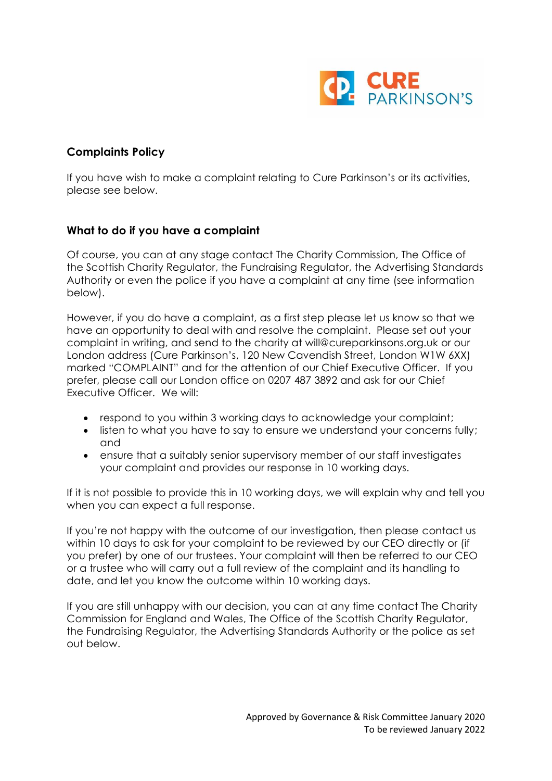

# **Complaints Policy**

If you have wish to make a complaint relating to Cure Parkinson's or its activities, please see below.

## **What to do if you have a complaint**

Of course, you can at any stage contact The Charity Commission, The Office of the Scottish Charity Regulator, the Fundraising Regulator, the Advertising Standards Authority or even the police if you have a complaint at any time (see information below).

However, if you do have a complaint, as a first step please let us know so that we have an opportunity to deal with and resolve the complaint. Please set out your complaint in writing, and send to the charity at [will@cureparkinsons.org.uk](mailto:cptinfo@cureparkinsons.org.ukor) or our London address (Cure Parkinson's, 120 New Cavendish Street, London W1W 6XX) marked "COMPLAINT" and for the attention of our Chief Executive Officer. If you prefer, please call our London office on 0207 487 3892 and ask for our Chief Executive Officer. We will:

- respond to you within 3 working days to acknowledge your complaint;
- listen to what you have to say to ensure we understand your concerns fully; and
- ensure that a suitably senior supervisory member of our staff investigates your complaint and provides our response in 10 working days.

If it is not possible to provide this in 10 working days, we will explain why and tell you when you can expect a full response.

If you're not happy with the outcome of our investigation, then please contact us within 10 days to ask for your complaint to be reviewed by our CEO directly or (if you prefer) by one of our trustees. Your complaint will then be referred to our CEO or a trustee who will carry out a full review of the complaint and its handling to date, and let you know the outcome within 10 working days.

If you are still unhappy with our decision, you can at any time contact The Charity Commission for England and Wales, The Office of the Scottish Charity Regulator, the Fundraising Regulator, the Advertising Standards Authority or the police as set out below.